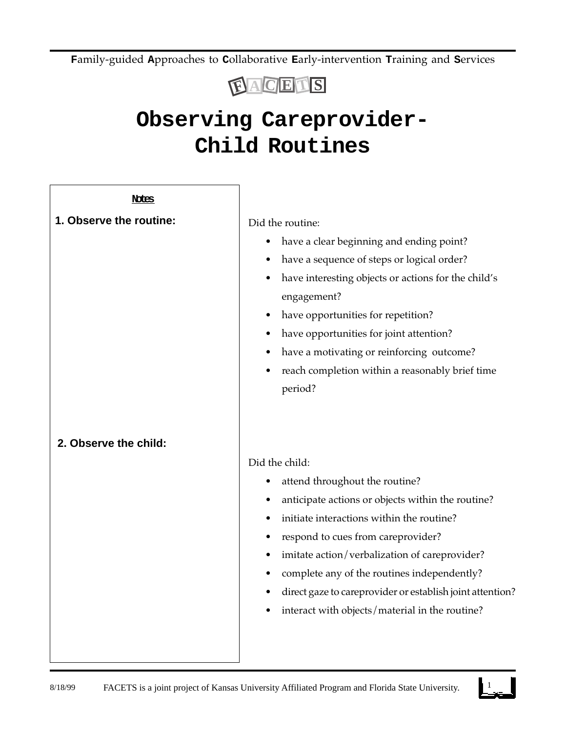**F**amily-guided **A**pproaches to **C**ollaborative **E**arly-intervention **T**raining and **S**ervices



## **Observing Careprovider-Child Routines**

| Notes                   |                                                           |
|-------------------------|-----------------------------------------------------------|
| 1. Observe the routine: | Did the routine:                                          |
|                         | have a clear beginning and ending point?<br>٠             |
|                         | have a sequence of steps or logical order?                |
|                         | have interesting objects or actions for the child's       |
|                         | engagement?                                               |
|                         | have opportunities for repetition?                        |
|                         | have opportunities for joint attention?<br>٠              |
|                         | have a motivating or reinforcing outcome?                 |
|                         | reach completion within a reasonably brief time           |
|                         | period?                                                   |
|                         |                                                           |
|                         |                                                           |
| 2. Observe the child:   |                                                           |
|                         | Did the child:                                            |
|                         | attend throughout the routine?<br>$\bullet$               |
|                         | anticipate actions or objects within the routine?         |
|                         | initiate interactions within the routine?                 |
|                         | respond to cues from careprovider?                        |
|                         | imitate action/verbalization of careprovider?             |
|                         | complete any of the routines independently?               |
|                         | direct gaze to careprovider or establish joint attention? |
|                         | interact with objects/material in the routine?            |
|                         |                                                           |
|                         |                                                           |